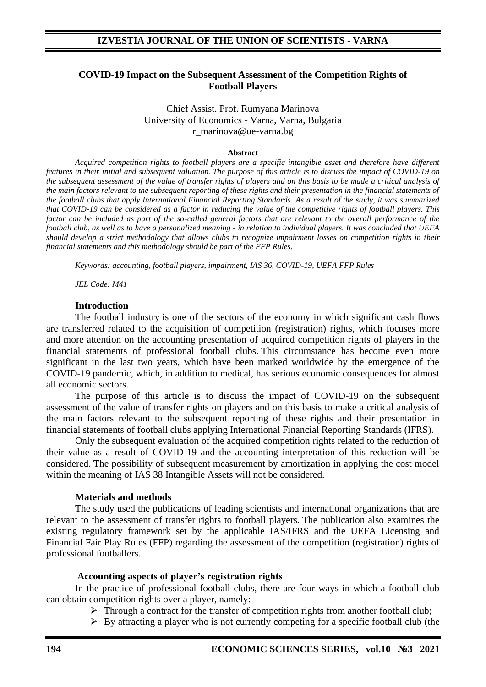### **COVID-19 Impact on the Subsequent Assessment of the Competition Rights of Football Players**

Chief Assist. Prof. Rumyana Marinova University of Economics - Varna, Varna, Bulgaria r\_marinova@ue-varna.bg

#### **Abstract**

*Acquired competition rights to football players are a specific intangible asset and therefore have different features in their initial and subsequent valuation. The purpose of this article is to discuss the impact of COVID-19 on the subsequent assessment of the value of transfer rights of players and on this basis to be made a critical analysis of the main factors relevant to the subsequent reporting of these rights and their presentation in the financial statements of the football clubs that apply International Financial Reporting Standards. As a result of the study, it was summarized that COVID-19 can be considered as a factor in reducing the value of the competitive rights of football players. This*  factor can be included as part of the so-called general factors that are relevant to the overall performance of the *football club, as well as to have a personalized meaning - in relation to individual players. It was concluded that UEFA should develop a strict methodology that allows clubs to recognize impairment losses on competition rights in their financial statements and this methodology should be part of the FFP Rules.*

*Keywords: accounting, football players, impairment, IAS 36, COVID-19, UEFA FFP Rules*

*JEL Code: M41*

#### **Introduction**

The football industry is one of the sectors of the economy in which significant cash flows are transferred related to the acquisition of competition (registration) rights, which focuses more and more attention on the accounting presentation of acquired competition rights of players in the financial statements of professional football clubs. This circumstance has become even more significant in the last two years, which have been marked worldwide by the emergence of the COVID-19 pandemic, which, in addition to medical, has serious economic consequences for almost all economic sectors.

The purpose of this article is to discuss the impact of COVID-19 on the subsequent assessment of the value of transfer rights on players and on this basis to make a critical analysis of the main factors relevant to the subsequent reporting of these rights and their presentation in financial statements of football clubs applying International Financial Reporting Standards (IFRS).

Only the subsequent evaluation of the acquired competition rights related to the reduction of their value as a result of COVID-19 and the accounting interpretation of this reduction will be considered. The possibility of subsequent measurement by amortization in applying the cost model within the meaning of IAS 38 Intangible Assets will not be considered.

### **Materials and methods**

The study used the publications of leading scientists and international organizations that are relevant to the assessment of transfer rights to football players. The publication also examines the existing regulatory framework set by the applicable IAS/IFRS and the UEFA Licensing and Financial Fair Play Rules (FFP) regarding the assessment of the competition (registration) rights of professional footballers.

#### **Accounting aspects of player's registration rights**

In the practice of professional football clubs, there are four ways in which a football club can obtain competition rights over a player, namely:

- $\triangleright$  Through a contract for the transfer of competition rights from another football club;
- ➢ By attracting a player who is not currently competing for a specific football club (the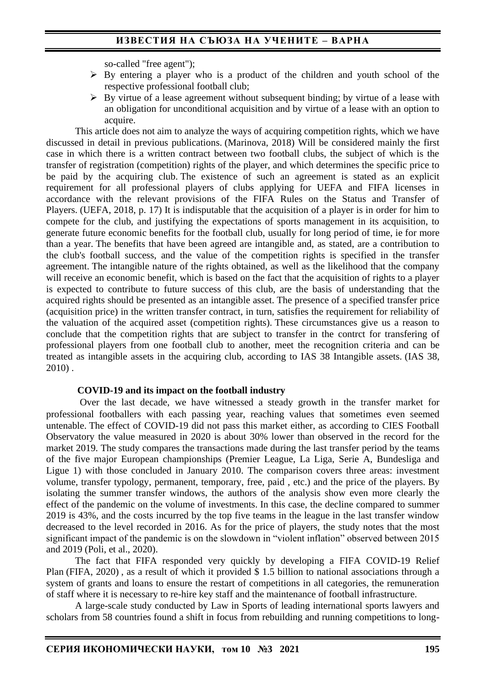so-called "free agent");

- ➢ By entering a player who is a product of the children and youth school of the respective professional football club;
- $\triangleright$  By virtue of a lease agreement without subsequent binding; by virtue of a lease with an obligation for unconditional acquisition and by virtue of a lease with an option to acquire.

This article does not aim to analyze the ways of acquiring competition rights, which we have discussed in detail in previous publications. (Marinova, 2018) Will be considered mainly the first case in which there is a written contract between two football clubs, the subject of which is the transfer of registration (competition) rights of the player, and which determines the specific price to be paid by the acquiring club. The existence of such an agreement is stated as an explicit requirement for all professional players of clubs applying for UEFA and FIFA licenses in accordance with the relevant provisions of the FIFA Rules on the Status and Transfer of Players. (UEFA, 2018, p. 17) It is indisputable that the acquisition of a player is in order for him to compete for the club, and justifying the expectations of sports management in its acquisition, to generate future economic benefits for the football club, usually for long period of time, ie for more than a year. The benefits that have been agreed are intangible and, as stated, are a contribution to the club's football success, and the value of the competition rights is specified in the transfer agreement. The intangible nature of the rights obtained, as well as the likelihood that the company will receive an economic benefit, which is based on the fact that the acquisition of rights to a player is expected to contribute to future success of this club, are the basis of understanding that the acquired rights should be presented as an intangible asset. The presence of a specified transfer price (acquisition price) in the written transfer contract, in turn, satisfies the requirement for reliability of the valuation of the acquired asset (competition rights). These circumstances give us a reason to conclude that the competition rights that are subject to transfer in the contrct for transfering of professional players from one football club to another, meet the recognition criteria and can be treated as intangible assets in the acquiring club, according to IAS 38 Intangible assets. (IAS 38, 2010) .

#### **COVID-19 and its impact on the football industry**

Over the last decade, we have witnessed a steady growth in the transfer market for professional footballers with each passing year, reaching values that sometimes even seemed untenable. The effect of COVID-19 did not pass this market either, as according to CIES Football Observatory the value measured in 2020 is about 30% lower than observed in the record for the market 2019. The study compares the transactions made during the last transfer period by the teams of the five major European championships (Premier League, La Liga, Serie A, Bundesliga and Ligue 1) with those concluded in January 2010. The comparison covers three areas: investment volume, transfer typology, permanent, temporary, free, paid , etc.) and the price of the players. By isolating the summer transfer windows, the authors of the analysis show even more clearly the effect of the pandemic on the volume of investments. In this case, the decline compared to summer 2019 is 43%, and the costs incurred by the top five teams in the league in the last transfer window decreased to the level recorded in 2016. As for the price of players, the study notes that the most significant impact of the pandemic is on the slowdown in "violent inflation" observed between 2015 and 2019 (Poli, et al., 2020).

The fact that FIFA responded very quickly by developing a FIFA COVID-19 Relief Plan (FIFA, 2020) , as a result of which it provided \$ 1.5 billion to national associations through a system of grants and loans to ensure the restart of competitions in all categories, the remuneration of staff where it is necessary to re-hire key staff and the maintenance of football infrastructure.

A large-scale study conducted by Law in Sports of leading international sports lawyers and scholars from 58 countries found a shift in focus from rebuilding and running competitions to long-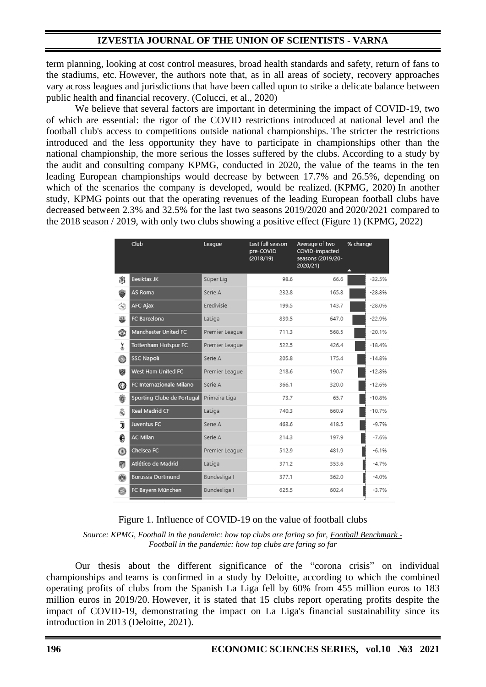## **IZVESTIA JOURNAL OF THE UNION OF SCIENTISTS - VARNA**

term planning, looking at cost control measures, broad health standards and safety, return of fans to the stadiums, etc. However, the authors note that, as in all areas of society, recovery approaches vary across leagues and jurisdictions that have been called upon to strike a delicate balance between public health and financial recovery. (Colucci, et al., 2020)

We believe that several factors are important in determining the impact of COVID-19, two of which are essential: the rigor of the COVID restrictions introduced at national level and the football club's access to competitions outside national championships. The stricter the restrictions introduced and the less opportunity they have to participate in championships other than the national championship, the more serious the losses suffered by the clubs. According to a study by the audit and consulting company KPMG, conducted in 2020, the value of the teams in the ten leading European championships would decrease by between 17.7% and 26.5%, depending on which of the scenarios the company is developed, would be realized. (KPMG, 2020) In another study, KPMG points out that the operating revenues of the leading European football clubs have decreased between 2.3% and 32.5% for the last two seasons 2019/2020 and 2020/2021 compared to the 2018 season / 2019, with only two clubs showing a positive effect (Figure 1) (KPMG, 2022)

|                   | Club                        | League         | Last full season<br>pre-COVID<br>(2018/19) | Average of two<br>COVID-impacted<br>seasons (2019/20-<br>2020/21) | % change |          |
|-------------------|-----------------------------|----------------|--------------------------------------------|-------------------------------------------------------------------|----------|----------|
| 闠                 | <b>Besiktas JK</b>          | Süper Lig      | 98.6                                       | 66.6                                                              |          | $-32.5%$ |
| ❀                 | AS Roma                     | Serie A        | 232.8                                      | 165.8                                                             |          | $-28.8%$ |
| $\frac{d^2-1}{2}$ | <b>AFC Ajax</b>             | Eredivisie     | 199.5                                      | 143.7                                                             |          | $-28.0%$ |
| 粵                 | FC Barcelona                | LaLiga         | 839.5                                      | 647.0                                                             |          | $-22.9%$ |
| ٦                 | <b>Manchester United FC</b> | Premier League | 711.3                                      | 568.5                                                             |          | $-20.1%$ |
| ż                 | <b>Tottenham Hotspur FC</b> | Premier League | 522.5                                      | 426.4                                                             |          | $-18.4%$ |
| 0                 | <b>SSC Napoli</b>           | Serie A        | 205.8                                      | 175.4                                                             |          | $-14.8%$ |
| 闋                 | West Ham United FC          | Premier League | 218.6                                      | 190.7                                                             |          | $-12.8%$ |
| ⊕                 | FC Internazionale Milano    | Serie A        | 366.1                                      | 320.0                                                             |          | $-12.6%$ |
| 鍌                 | Sporting Clube de Portugal  | Primeira Liga  | 73.7                                       | 65.7                                                              |          | $-10.8%$ |
| 曷                 | <b>Real Madrid CF</b>       | LaLiga         | 740.3                                      | 660.9                                                             |          | $-10.7%$ |
| Ïj                | Juventus FC                 | Serie A        | 463.6                                      | 418.5                                                             |          | $-9.7%$  |
| €                 | <b>AC Milan</b>             | Serie A        | 214.3                                      | 197.9                                                             |          | $-7.6%$  |
| ⊛                 | Chelsea FC                  | Premier League | 512.9                                      | 481.9                                                             |          | $-6.1%$  |
| 冊                 | Atlético de Madrid          | LaLiga         | 371.2                                      | 353.6                                                             |          | $-4.7%$  |
| Ø                 | <b>Borussia Dortmund</b>    | Bundesliga I   | 377.1                                      | 362.0                                                             |          | $-4.0%$  |
| O                 | FC Bayern München           | Bundesliga I   | 625.5                                      | 602.4                                                             |          | $-3.7%$  |

### Figure 1. Influence of COVID-19 on the value of football clubs

*Source: KPMG, Football in the pandemic: how top clubs are faring so far, [Football Benchmark -](https://translate.google.com/translate?hl=bg&prev=_t&sl=bg&tl=en&u=https://www.footballbenchmark.com/library/football_in_the_pandemic_how_top_clubs_are_faring_so_far) [Football in the pandemic: how top clubs are faring so far](https://translate.google.com/translate?hl=bg&prev=_t&sl=bg&tl=en&u=https://www.footballbenchmark.com/library/football_in_the_pandemic_how_top_clubs_are_faring_so_far)*

Our thesis about the different significance of the "corona crisis" on individual championships and teams is confirmed in a study by Deloitte, according to which the combined operating profits of clubs from the Spanish La Liga fell by 60% from 455 million euros to 183 million euros in 2019/20. However, it is stated that 15 clubs report operating profits despite the impact of COVID-19, demonstrating the impact on La Liga's financial sustainability since its introduction in 2013 (Deloitte, 2021).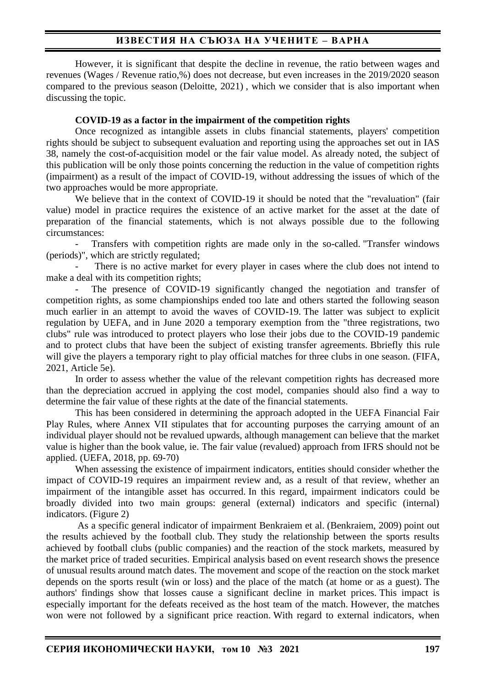## **ИЗВЕСТИЯ НА СЪЮЗА НА УЧЕНИТЕ – ВАРНА**

However, it is significant that despite the decline in revenue, the ratio between wages and revenues (Wages / Revenue ratio,%) does not decrease, but even increases in the 2019/2020 season compared to the previous season (Deloitte, 2021) , which we consider that is also important when discussing the topic.

#### **COVID-19 as a factor in the impairment of the competition rights**

Once recognized as intangible assets in clubs financial statements, players' competition rights should be subject to subsequent evaluation and reporting using the approaches set out in IAS 38, namely the cost-of-acquisition model or the fair value model. As already noted, the subject of this publication will be only those points concerning the reduction in the value of competition rights (impairment) as a result of the impact of COVID-19, without addressing the issues of which of the two approaches would be more appropriate.

We believe that in the context of COVID-19 it should be noted that the "revaluation" (fair value) model in practice requires the existence of an active market for the asset at the date of preparation of the financial statements, which is not always possible due to the following circumstances:

Transfers with competition rights are made only in the so-called. "Transfer windows (periods)", which are strictly regulated;

There is no active market for every player in cases where the club does not intend to make a deal with its competition rights;

The presence of COVID-19 significantly changed the negotiation and transfer of competition rights, as some championships ended too late and others started the following season much earlier in an attempt to avoid the waves of COVID-19. The latter was subject to explicit regulation by UEFA, and in June 2020 a temporary exemption from the "three registrations, two clubs" rule was introduced to protect players who lose their jobs due to the COVID-19 pandemic and to protect clubs that have been the subject of existing transfer agreements. Bbriefly this rule will give the players a temporary right to play official matches for three clubs in one season. (FIFA, 2021, Article 5e).

In order to assess whether the value of the relevant competition rights has decreased more than the depreciation accrued in applying the cost model, companies should also find a way to determine the fair value of these rights at the date of the financial statements.

This has been considered in determining the approach adopted in the UEFA Financial Fair Play Rules, where Annex VII stipulates that for accounting purposes the carrying amount of an individual player should not be revalued upwards, although management can believe that the market value is higher than the book value, ie. The fair value (revalued) approach from IFRS should not be applied. (UEFA, 2018, pp. 69-70)

When assessing the existence of impairment indicators, entities should consider whether the impact of COVID-19 requires an impairment review and, as a result of that review, whether an impairment of the intangible asset has occurred. In this regard, impairment indicators could be broadly divided into two main groups: general (external) indicators and specific (internal) indicators. (Figure 2)

As a specific general indicator of impairment Benkraiem et al. (Benkraiem, 2009) point out the results achieved by the football club. They study the relationship between the sports results achieved by football clubs (public companies) and the reaction of the stock markets, measured by the market price of traded securities. Empirical analysis based on event research shows the presence of unusual results around match dates. The movement and scope of the reaction on the stock market depends on the sports result (win or loss) and the place of the match (at home or as a guest). The authors' findings show that losses cause a significant decline in market prices. This impact is especially important for the defeats received as the host team of the match. However, the matches won were not followed by a significant price reaction. With regard to external indicators, when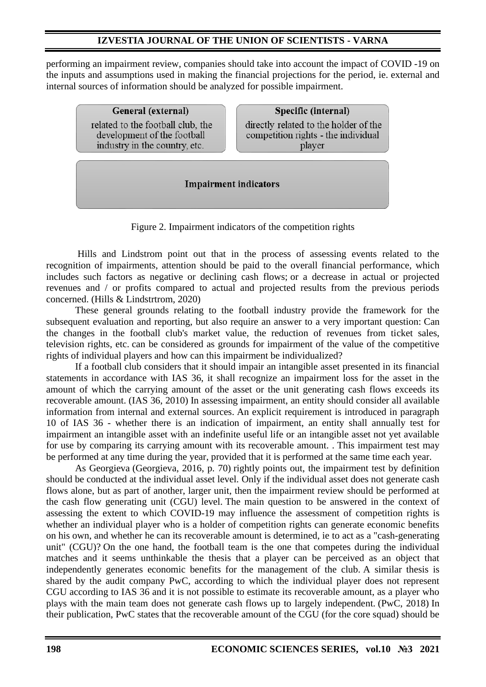## **IZVESTIA JOURNAL OF THE UNION OF SCIENTISTS - VARNA**

performing an impairment review, companies should take into account the impact of COVID -19 on the inputs and assumptions used in making the financial projections for the period, ie. external and internal sources of information should be analyzed for possible impairment.

> General (external) related to the football club, the development of the football industry in the country, etc.

Specific (internal)

directly related to the holder of the competition rights - the individual player

**Impairment indicators** 

Figure 2. Impairment indicators of the competition rights

Hills and Lindstrom point out that in the process of assessing events related to the recognition of impairments, attention should be paid to the overall financial performance, which includes such factors as negative or declining cash flows; or a decrease in actual or projected revenues and / or profits compared to actual and projected results from the previous periods concerned. (Hills & Lindstrtrom, 2020)

These general grounds relating to the football industry provide the framework for the subsequent evaluation and reporting, but also require an answer to a very important question: Can the changes in the football club's market value, the reduction of revenues from ticket sales, television rights, etc. can be considered as grounds for impairment of the value of the competitive rights of individual players and how can this impairment be individualized?

If a football club considers that it should impair an intangible asset presented in its financial statements in accordance with IAS 36, it shall recognize an impairment loss for the asset in the amount of which the carrying amount of the asset or the unit generating cash flows exceeds its recoverable amount. (IAS 36, 2010) In assessing impairment, an entity should consider all available information from internal and external sources. An explicit requirement is introduced in paragraph 10 of IAS 36 - whether there is an indication of impairment, an entity shall annually test for impairment an intangible asset with an indefinite useful life or an intangible asset not yet available for use by comparing its carrying amount with its recoverable amount. . This impairment test may be performed at any time during the year, provided that it is performed at the same time each year.

As Georgieva (Georgieva, 2016, p. 70) rightly points out, the impairment test by definition should be conducted at the individual asset level. Only if the individual asset does not generate cash flows alone, but as part of another, larger unit, then the impairment review should be performed at the cash flow generating unit (CGU) level. The main question to be answered in the context of assessing the extent to which COVID-19 may influence the assessment of competition rights is whether an individual player who is a holder of competition rights can generate economic benefits on his own, and whether he can its recoverable amount is determined, ie to act as a "cash-generating unit" (CGU)? On the one hand, the football team is the one that competes during the individual matches and it seems unthinkable the thesis that a player can be perceived as an object that independently generates economic benefits for the management of the club. A similar thesis is shared by the audit company PwC, according to which the individual player does not represent CGU according to IAS 36 and it is not possible to estimate its recoverable amount, as a player who plays with the main team does not generate cash flows up to largely independent. (PwC, 2018) In their publication, PwC states that the recoverable amount of the CGU (for the core squad) should be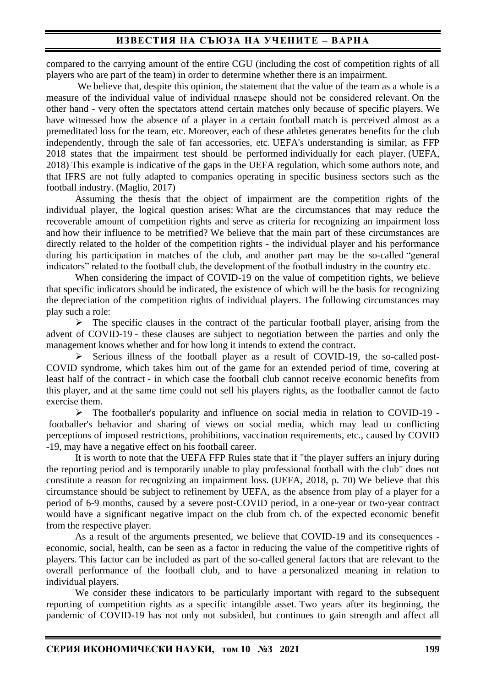## **ИЗВЕСТИЯ НА СЪЮЗА НА УЧЕНИТЕ – ВАРНА**

compared to the carrying amount of the entire CGU (including the cost of competition rights of all players who are part of the team) in order to determine whether there is an impairment.

We believe that, despite this opinion, the statement that the value of the team as a whole is a measure of the individual value of individual плаъерс should not be considered relevant. On the other hand - very often the spectators attend certain matches only because of specific players. We have witnessed how the absence of a player in a certain football match is perceived almost as a premeditated loss for the team, etc. Moreover, each of these athletes generates benefits for the club independently, through the sale of fan accessories, etc. UEFA's understanding is similar, as FFP 2018 states that the impairment test should be performed individually for each player. (UEFA, 2018) This example is indicative of the gaps in the UEFA regulation, which some authors note, and that IFRS are not fully adapted to companies operating in specific business sectors such as the football industry. (Maglio, 2017)

Assuming the thesis that the object of impairment are the competition rights of the individual player, the logical question arises: What are the circumstances that may reduce the recoverable amount of competition rights and serve as criteria for recognizing an impairment loss and how their influence to be metrified? We believe that the main part of these circumstances are directly related to the holder of the competition rights - the individual player and his performance during his participation in matches of the club, and another part may be the so-called "general indicators" related to the football club, the development of the football industry in the country etc.

When considering the impact of COVID-19 on the value of competition rights, we believe that specific indicators should be indicated, the existence of which will be the basis for recognizing the depreciation of the competition rights of individual players. The following circumstances may play such a role:

 $\triangleright$  The specific clauses in the contract of the particular football player, arising from the advent of COVID-19 - these clauses are subject to negotiation between the parties and only the management knows whether and for how long it intends to extend the contract.

➢ Serious illness of the football player as a result of COVID-19, the so-called post-COVID syndrome, which takes him out of the game for an extended period of time, covering at least half of the contract - in which case the football club cannot receive economic benefits from this player, and at the same time could not sell his players rights, as the footballer cannot de facto exercise them.

➢ The footballer's popularity and influence on social media in relation to COVID-19 footballer's behavior and sharing of views on social media, which may lead to conflicting perceptions of imposed restrictions, prohibitions, vaccination requirements, etc., caused by COVID -19, may have a negative effect on his football career.

It is worth to note that the UEFA FFP Rules state that if "the player suffers an injury during the reporting period and is temporarily unable to play professional football with the club" does not constitute a reason for recognizing an impairment loss. (UEFA, 2018, p. 70) We believe that this circumstance should be subject to refinement by UEFA, as the absence from play of a player for a period of 6-9 months, caused by a severe post-COVID period, in a one-year or two-year contract would have a significant negative impact on the club from ch. of the expected economic benefit from the respective player.

As a result of the arguments presented, we believe that COVID-19 and its consequences economic, social, health, can be seen as a factor in reducing the value of the competitive rights of players. This factor can be included as part of the so-called general factors that are relevant to the overall performance of the football club, and to have a personalized meaning in relation to individual players.

We consider these indicators to be particularly important with regard to the subsequent reporting of competition rights as a specific intangible asset. Two years after its beginning, the pandemic of COVID-19 has not only not subsided, but continues to gain strength and affect all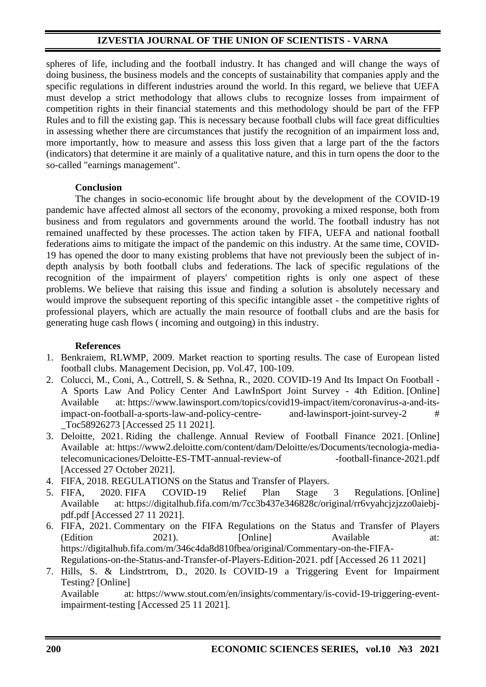## **IZVESTIA JOURNAL OF THE UNION OF SCIENTISTS - VARNA**

spheres of life, including and the football industry. It has changed and will change the ways of doing business, the business models and the concepts of sustainability that companies apply and the specific regulations in different industries around the world. In this regard, we believe that UEFA must develop a strict methodology that allows clubs to recognize losses from impairment of competition rights in their financial statements and this methodology should be part of the FFP Rules and to fill the existing gap. This is necessary because football clubs will face great difficulties in assessing whether there are circumstances that justify the recognition of an impairment loss and, more importantly, how to measure and assess this loss given that a large part of the the factors (indicators) that determine it are mainly of a qualitative nature, and this in turn opens the door to the so-called "earnings management".

### **Conclusion**

The changes in socio-economic life brought about by the development of the COVID-19 pandemic have affected almost all sectors of the economy, provoking a mixed response, both from business and from regulators and governments around the world. The football industry has not remained unaffected by these processes. The action taken by FIFA, UEFA and national football federations aims to mitigate the impact of the pandemic on this industry. At the same time, COVID-19 has opened the door to many existing problems that have not previously been the subject of indepth analysis by both football clubs and federations. The lack of specific regulations of the recognition of the impairment of players' competition rights is only one aspect of these problems. We believe that raising this issue and finding a solution is absolutely necessary and would improve the subsequent reporting of this specific intangible asset - the competitive rights of professional players, which are actually the main resource of football clubs and are the basis for generating huge cash flows ( incoming and outgoing) in this industry.

### **References**

- 1. Benkraiem, RLWMP, 2009. Market reaction to sporting results. The case of European listed football clubs. Management Decision, pp. Vol.47, 100-109.
- 2. Colucci, M., Coni, A., Cottrell, S. & Sethna, R., 2020. COVID-19 And Its Impact On Football A Sports Law And Policy Center And LawInSport Joint Survey - 4th Edition. [Online] Available at: https://www.lawinsport.com/topics/covid19-impact/item/coronavirus-a-and-itsimpact-on-football-a-sports-law-and-policy-centre- and-lawinsport-joint-survey-2 # \_Toc58926273 [Accessed 25 11 2021].
- 3. Deloitte, 2021. Riding the challenge. Annual Review of Football Finance 2021. [Online] Available at: https://www2.deloitte.com/content/dam/Deloitte/es/Documents/tecnologia-mediatelecomunicaciones/Deloitte-ES-TMT-annual-review-of -football-finance-2021.pdf [Accessed 27 October 2021].
- 4. FIFA, 2018. REGULATIONS on the Status and Transfer of Players.
- 5. FIFA, 2020. FIFA COVID-19 Relief Plan Stage 3 Regulations. [Online] Available at: https://digitalhub.fifa.com/m/7cc3b437e346828c/original/rr6vyahcjzjzzo0aiebjpdf.pdf [Accessed 27 11 2021].
- 6. FIFA, 2021. Commentary on the FIFA Regulations on the Status and Transfer of Players (Edition 2021). [Online] Available at: https://digitalhub.fifa.com/m/346c4da8d810fbea/original/Commentary-on-the-FIFA-Regulations-on-the-Status-and-Transfer-of-Players-Edition-2021. pdf [Accessed 26 11 2021]
- 7. Hills, S. & Lindstrtrom, D., 2020. Is COVID-19 a Triggering Event for Impairment Testing? [Online] Available at: https://www.stout.com/en/insights/commentary/is-covid-19-triggering-eventimpairment-testing [Accessed 25 11 2021].